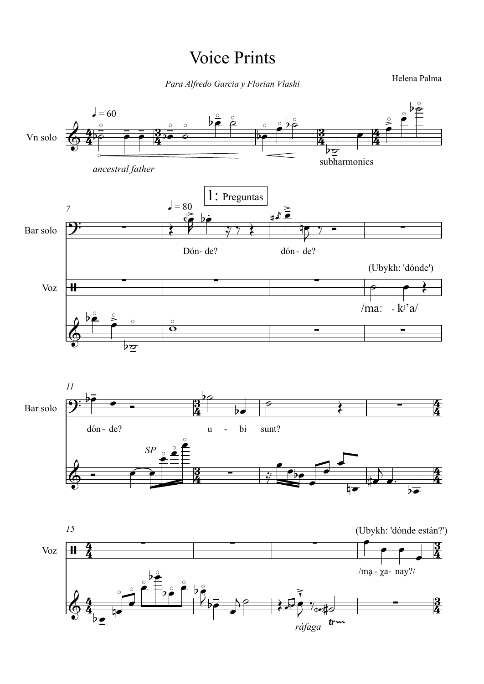# Voice Prints

<sup>o</sup> *Para Alfredo Garcia <sup>y</sup> Florian Vlashi* Helena Palma

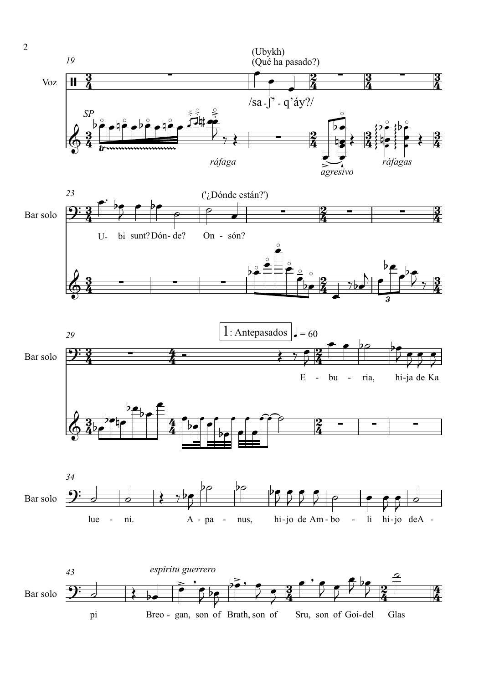

2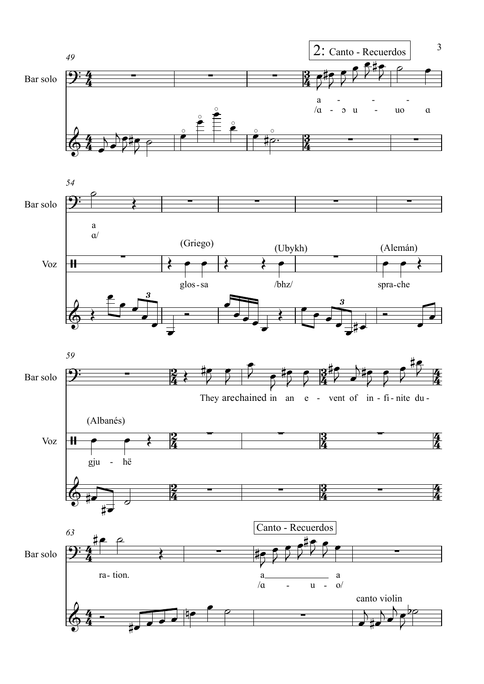





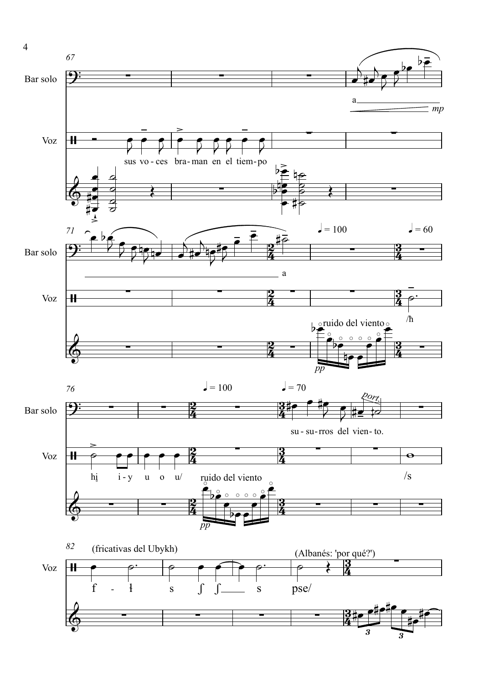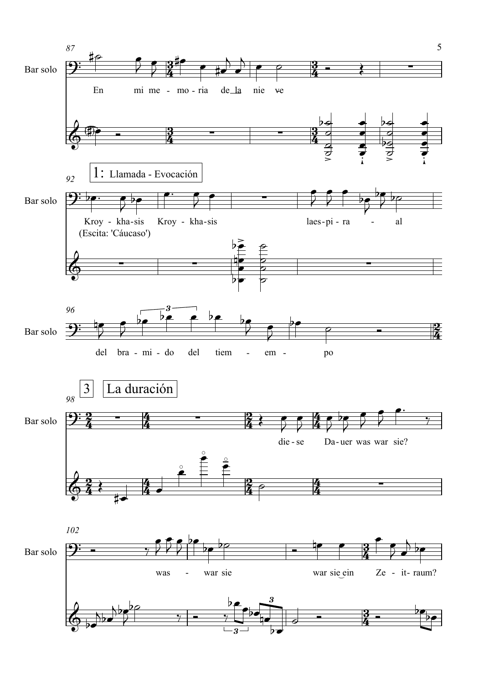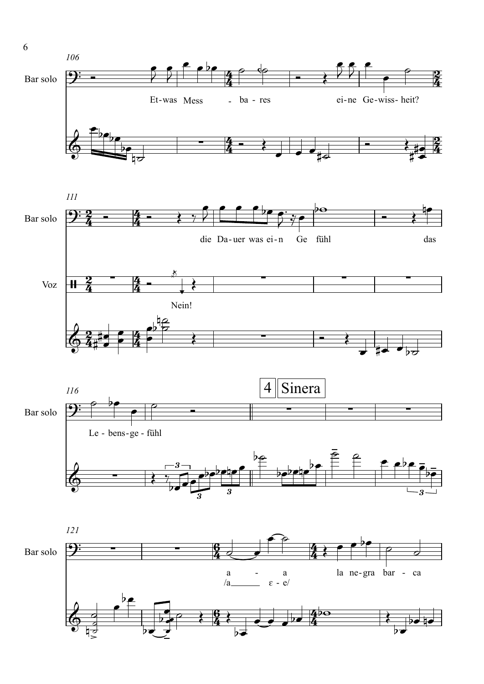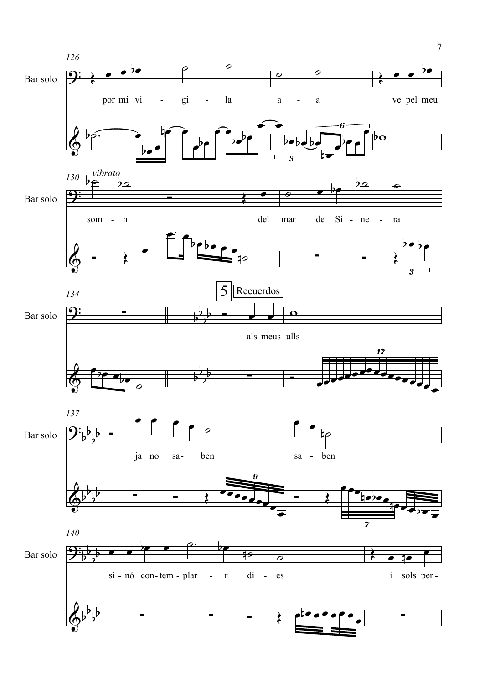

7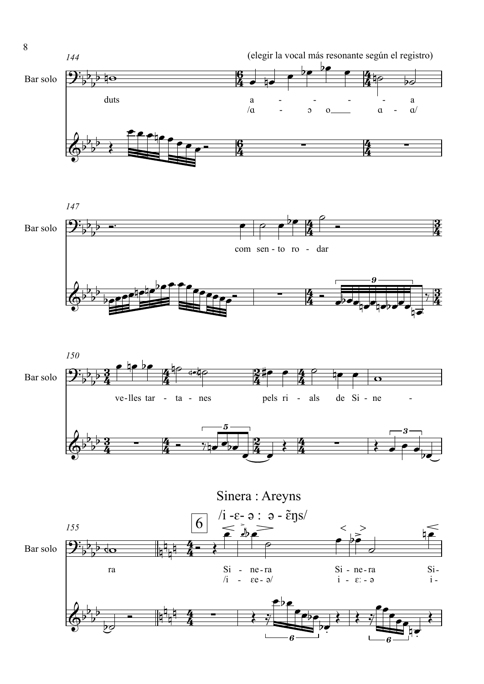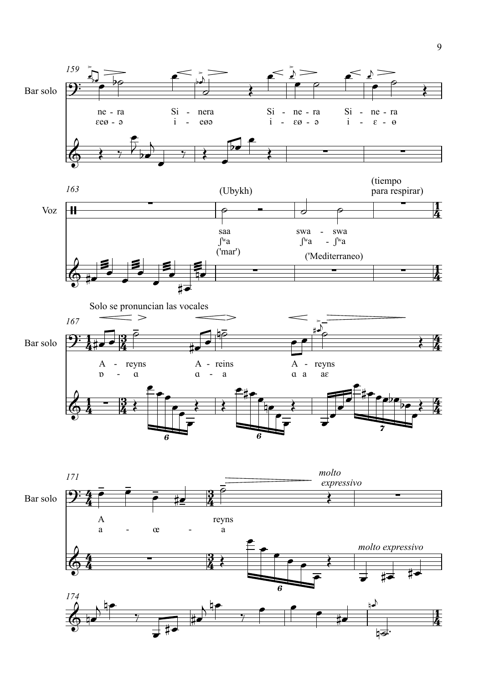

<del>J</del>‡≁

ਖ਼⊅

<sup>9</sup>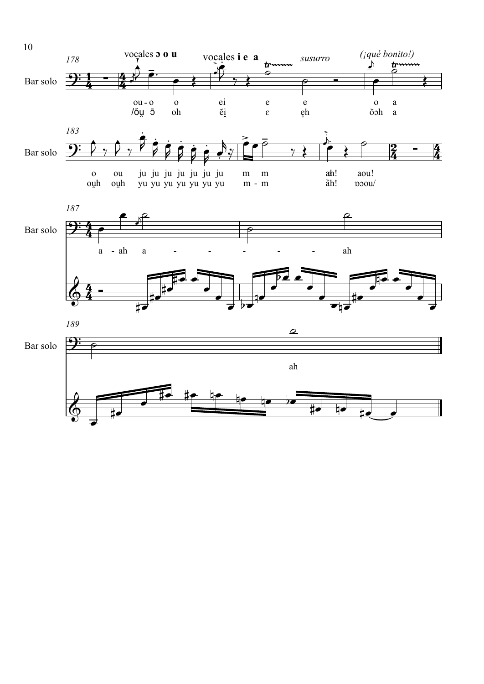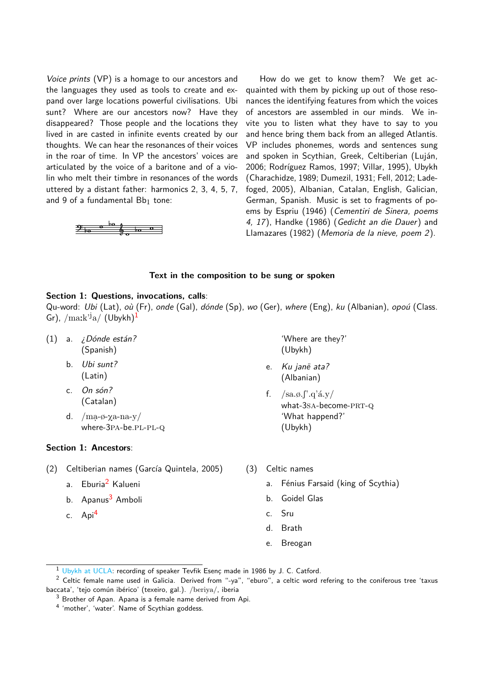Voice prints (VP) is a homage to our ancestors and the languages they used as tools to create and expand over large locations powerful civilisations. Ubi sunt? Where are our ancestors now? Have they disappeared? Those people and the locations they lived in are casted in infinite events created by our thoughts. We can hear the resonances of their voices in the roar of time. In VP the ancestors' voices are articulated by the voice of a baritone and of a violin who melt their timbre in resonances of the words uttered by a distant father: harmonics 2, 3, 4, 5, 7, and 9 of a fundamental  $Bb<sub>1</sub>$  tone:



How do we get to know them? We get acquainted with them by picking up out of those resonances the identifying features from which the voices of ancestors are assembled in our minds. We invite you to listen what they have to say to you and hence bring them back from an alleged Atlantis. VP includes phonemes, words and sentences sung and spoken in Scythian, Greek, Celtiberian [\(Luján,](#page-12-0) [2006;](#page-12-0) [Rodríguez Ramos,](#page-12-1) [1997;](#page-12-1) [Villar,](#page-12-2) [1995\)](#page-12-2), Ubykh [\(Charachidze,](#page-12-3) [1989;](#page-12-3) [Dumezil,](#page-12-4) [1931;](#page-12-4) [Fell,](#page-12-5) [2012;](#page-12-5) [Lade](#page-12-6)[foged,](#page-12-6) [2005\)](#page-12-6), Albanian, Catalan, English, Galician, German, Spanish. Music is set to fragments of poems by [Espriu](#page-12-7) [\(1946\)](#page-12-7) (Cementiri de Sinera, poems 4, 17), [Handke](#page-12-8) [\(1986\)](#page-12-8) (Gedicht an die Dauer) and [Llamazares](#page-12-9) [\(1982\)](#page-12-9) (Memoria de la nieve, poem 2).

#### **Text in the composition to be sung or spoken**

#### **Section 1: Questions, invocations, calls**:

Qu-word: Ubi (Lat), où (Fr), onde (Gal), dónde (Sp), wo (Ger), where (Eng), ku (Albanian), opoú (Class. Gr),  $/$ maːk<sup>·j</sup>a/ (Ubykh)<sup>[1](#page-10-0)</sup>

- (1) a. ¿Dónde están? (Spanish)
	- b. Ubi sunt? (Latin)
	- c. On són? (Catalan)
	- d.  $/ma$ - $\phi$ - $\chi$ a-na-y $/$ where- $3$ PA-be.PL-PL-Q

#### **Section 1: Ancestors**:

- (2) Celtiberian names [\(García Quintela,](#page-12-10) [2005\)](#page-12-10)
	- a. Eburia<sup>[2](#page-10-1)</sup> Kalueni
	- b. Apanus<sup>[3](#page-10-2)</sup> Amboli
	- c. Api<sup>[4](#page-10-3)</sup>

'Where are they?' (Ubykh)

- e. Ku janë ata? (Albanian)
- f.  $/sa.\phi.f'.q'a.y/$ what-3sA-become-PRT-Q 'What happend?' (Ubykh)
- (3) Celtic names
	- a. Fénius Farsaid (king of Scythia)
	- b. Goidel Glas
	- c. Sru
	- d. Brath
	- e. Breogan

<span id="page-10-1"></span><span id="page-10-0"></span><sup>&</sup>lt;sup>1</sup> [Ubykh at UCLA:](http://archive.phonetics.ucla.edu/Language/UBY/uby_word-list_1986_01.html) recording of speaker Tevfik Esenç made in 1986 by J. C. Catford.

 $2$  Celtic female name used in Galicia. Derived from "-ya", "eburo", a celtic word refering to the coniferous tree 'taxus baccata', 'tejo común ibérico' (texeiro, gal.). /beriya/, iberia

<span id="page-10-2"></span> $3$  Brother of Apan. Apana is a female name derived from Api.

<span id="page-10-3"></span><sup>&</sup>lt;sup>4</sup> 'mother', 'water'. Name of Scythian goddess.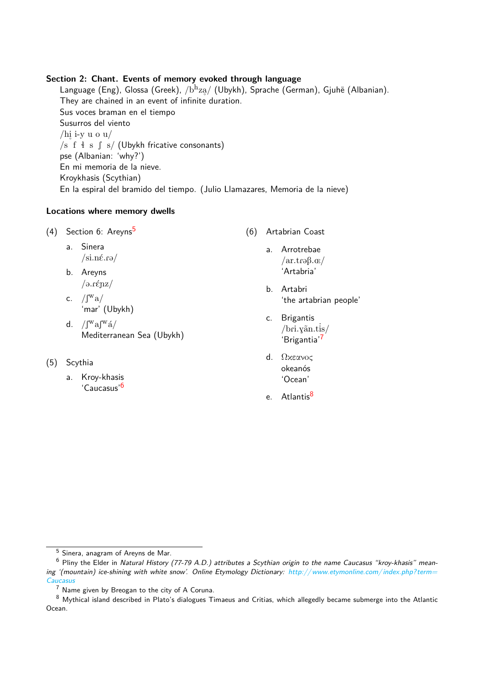## **Section 2: Chant. Events of memory evoked through language**

Language (Eng), Glossa (Greek),  $/\mathrm{b}^{\mathrm{h}}$ za $/$  (Ubykh), Sprache (German), Gjuhë (Albanian). They are chained in an event of infinite duration. Sus voces braman en el tiempo Susurros del viento /hi i-y u o u/  $\sqrt{s}$   $\acute{\text{f}}$  if  $\acute{\text{s}}$  s  $\int$   $\acute{\text{s}}$  / (Ubykh fricative consonants) pse (Albanian: 'why?') En mi memoria de la nieve. Kroykhasis (Scythian) En la espiral del bramido del tiempo. (Julio Llamazares, Memoria de la nieve)

### **Locations where memory dwells**

- (4) Section 6: Areyns<sup>[5](#page-11-0)</sup>
	- a. Sinera  $/si.n\acute{\epsilon}.r\partial/$
	- b. Areyns  $/$ ə.r $\epsilon$ nz $/$
	- c.  $/\int^{\sqrt{w}} a$ 'mar' (Ubykh)
	- d.  $/\int^{\mathrm{w}} a \int^{\mathrm{w}} \hat{a}/$ Mediterranean Sea (Ubykh)
- (5) Scythia
	- a. Kroy-khasis 'Caucasus'[6](#page-11-1)
- (6) Artabrian Coast
	- a. Arrotrebae  $/$ ar.trə $\beta$ . $\alpha$ 'Artabria'
	- b. Artabri 'the artabrian people'
	- c. Brigantis  $/$ bri.yãn.tis $/$ 'Brigantia'<sup>[7](#page-11-2)</sup>
	- d. Ωκεανoς okeanós 'Ocean'
	- e. Atlantis<sup>[8](#page-11-3)</sup>

<span id="page-11-1"></span><span id="page-11-0"></span><sup>5</sup> Sinera, anagram of Areyns de Mar.

<sup>&</sup>lt;sup>6</sup> Pliny the Elder in Natural History (77-79 A.D.) attributes a Scythian origin to the name Caucasus "kroy-khasis" meaning '(mountain) ice-shining with white snow'. Online Etymology Dictionary: http://www.etymonline.com/index.php?term= **[Caucasus](http://www.etymonline.com/index.php?term=Caucasus)** 

<span id="page-11-3"></span><span id="page-11-2"></span> $<sup>7</sup>$  Name given by Breogan to the city of A Coruna.</sup>

<sup>8</sup> Mythical island described in Plato's dialogues Timaeus and Critias, which allegedly became submerge into the Atlantic Ocean.